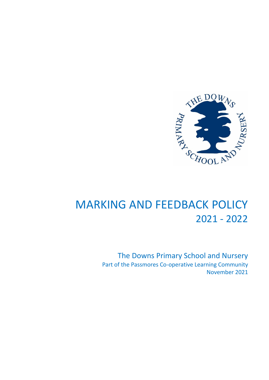

# MARKING AND FEEDBACK POLICY 2021 - 2022

The Downs Primary School and Nursery Part of the Passmores Co-operative Learning Community November 2021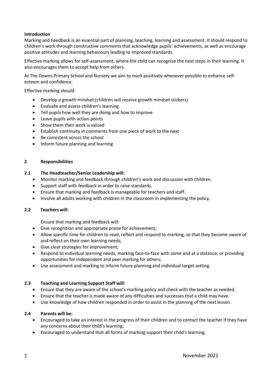#### **Introduction**

Marking and Feedback is an essential part of planning, teaching, learning and assessment. It should respond to children's work through constructive comments that acknowledge pupils' achievements, as well as encourage positive attitudes and learning behaviours leading to improved standards.

Effective marking allows for self-assessment, where the child can recognise the next steps in their learning. It also encourages them to accept help from others.

At The Downs Primary School and Nursery we aim to mark positively whenever possible to enhance selfesteem and confidence.

Effective marking should:

- Develop a growth mindset (children will receive growth mindset stickers)
- Evaluate and assess children's learning
- Tell pupils how well they are doing and how to improve
- Leave pupils with action points
- Show them their work is valued
- Establish continuity in comments from one piece of work to the next
- Be consistent across the school
- Inform future planning and learning

#### **2 Responsibilities**

#### **2.1 The Headteacher/Senior Leadership will:**

- Monitor marking and feedback through children's work and discussion with children.
- Support staff with feedback in order to raise standards.
- Ensure that marking and feedback is manageable for teachers and staff.
- Involve all adults working with children in the classroom in implementing the policy.

#### **2.2 Teachers will:**

Ensure that marking and feedback will:

- Give recognition and appropriate praise for achievement;
- Allow specific time for children to read, reflect and respond to marking, so that they become aware of and reflect on their own learning needs;
- Give clear strategies for improvement;
- Respond to individual learning needs, marking face-to-face with some and at a distance, or providing opportunities for independent and peer marking for others;
- Use assessment and marking to inform future planning and individual target setting.

#### **2.3 Teaching and Learning Support Staff will:**

- Ensure that they are aware of the school's marking policy and check with the teacher as needed.
- Ensure that the teacher is made aware of any difficulties and successes that a child may have.
- Use knowledge of how children responded in order to assist in the planning of the next lesson.

#### **2.4 Parents will be:**

- Encouraged to take an interest in the progress of their children and to contact the teacher if they have any concerns about their child's learning;
- Encouraged to understand that all forms of marking support their child's learning.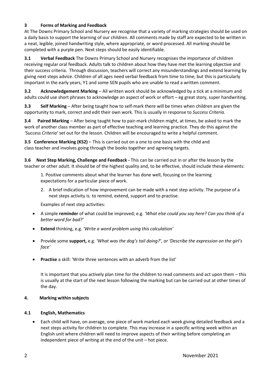# **3 Forms of Marking and Feedback**

At The Downs Primary School and Nursery we recognise that a variety of marking strategies should be used on a daily basis to support the learning of our children. All comments made by staff are expected to be written in a neat, legible, joined handwriting style, where appropriate, or word processed. All marking should be completed with a purple pen. Next steps should be easily identifiable.

**3.1 Verbal Feedback** The Downs Primary School and Nursery recognises the importance of children receiving regular oral feedback. Adults talk to children about how they have met the learning objective and their success criteria. Through discussion, teachers will correct any misunderstandings and extend learning by giving next steps advice. Children of all ages need verbal feedback from time to time, but this is particularly important in the early years, Y1 and some SEN pupils who are unable to read a written comment.

**3.2 Acknowledgement Marking** – All written work should be acknowledged by a tick at a minimum and adults could use short phrases to acknowledge an aspect of work or effort – eg great story, super handwriting.

**3.3 Self Marking** – After being taught how to self-mark there will be times when children are given the opportunity to mark, correct and edit their own work. This is usually in response to *Success Criteria*.

**3.4 Paired Marking** – After being taught how to pair-mark children might, at times, be asked to mark the work of another class member as part of effective teaching and learning practice. They do this against the *'Success Criteria'* set out for the lesson. Children will be encouraged to write a helpful comment.

**3.5 Conference Marking (KS2)** – This is carried out on a one to one basis with the child and class teacher and involves going through the books together and agreeing targets.

**3.6 Next Step Marking, Challenge and Feedback -** This can be carried out in or after the lesson by the teacher or other adult. It should be of the highest quality and, to be effective, should include these elements:

1. Positive comments about what the learner has done well, focusing on the learning expectations for a particular piece of work.

2. A brief indication of how improvement can be made with a next step activity. The purpose of a next steps activity is: to remind, extend, support and to practise.

Examples of next step activities:

- A simple **reminder** of what could be improved; e.g. *'What else could you say here? Can you think of a better word for bad?'*
- **Extend** thinking, e.g. *'Write a word problem using this calculation'*
- Provide some **support,** e.g. *'What was the dog's tail doing?', or 'Describe the expression on the girl's face'*
- **Practise** a skill: 'Write three sentences with an adverb from the list'

It is important that you actively plan time for the children to read comments and act upon them – this is usually at the start of the next lesson following the marking but can be carried out at other times of the day.

# **4. Marking within subjects**

# **4.1 English, Mathematics**

• Each child will have, on average, one piece of work marked each week giving detailed feedback and a next steps activity for children to complete. This may increase in a specific writing week within an English unit where children will need to improve aspects of their writing before completing an independent piece of writing at the end of the unit – hot piece.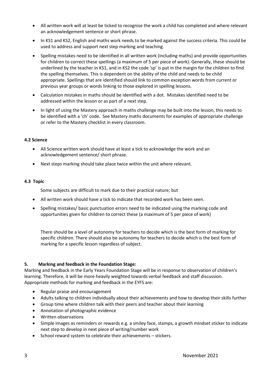- All written work will at least be ticked to recognise the work a child has completed and where relevant an acknowledgement sentence or short phrase.
- In KS1 and KS2, English and maths work needs to be marked against the success criteria. This could be used to address and support next step marking and teaching.
- Spelling mistakes need to be identified in all written work (including maths) and provide opportunities for children to correct these spellings (a maximum of 5 per piece of work). Generally, these should be underlined by the teacher in KS1, and in KS2 the code 'sp' is put in the margin for the children to find the spelling themselves. This is dependent on the ability of the child and needs to be child appropriate. Spellings that are identified should link to common exception words from current or previous year groups or words linking to those explored in spelling lessons.
- Calculation mistakes in maths should be identified with a dot. Mistakes identified need to be addressed within the lesson or as part of a next step.
- In light of using the Mastery approach in maths challenge may be built into the lesson, this needs to be identified with a 'ch' code. See Mastery maths documents for examples of appropriate challenge or refer to the Mastery checklist in every classroom.

# **4.2 Science**

- All Science written work should have at least a tick to acknowledge the work and an acknowledgement sentence/ short phrase.
- Next steps marking should take place twice within the unit where relevant.

#### **4.3 Topic**

Some subjects are difficult to mark due to their practical nature; but

- All written work should have a tick to indicate that recorded work has been seen.
- Spelling mistakes/ basic punctuation errors need to be indicated using the marking code and opportunities given for children to correct these (a maximum of 5 per piece of work)

There should be a level of autonomy for teachers to decide which is the best form of marking for specific children. There should also be autonomy for teachers to decide which is the best form of marking for a specific lesson regardless of subject.

# **5. Marking and feedback in the Foundation Stage:**

Marking and feedback in the Early Years Foundation Stage will be in response to observation of children's learning. Therefore, it will be more heavily weighted towards verbal feedback and staff discussion. Appropriate methods for marking and feedback in the EYFS are:

- Regular praise and encouragement
- Adults talking to children individually about their achievements and how to develop their skills further
- Group time where children talk with their peers and teacher about their learning
- Annotation of photographic evidence
- Written observations
- Simple images as reminders or rewards e.g. a smiley face, stamps, a growth mindset sticker to indicate next step to develop in next piece of writing/number work
- School reward system to celebrate their achievements stickers.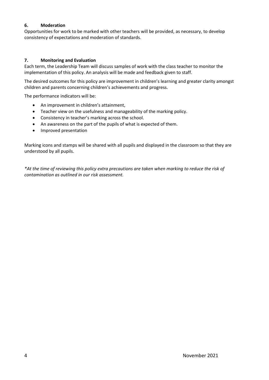# **6. Moderation**

Opportunities for work to be marked with other teachers will be provided, as necessary, to develop consistency of expectations and moderation of standards.

# **7. Monitoring and Evaluation**

Each term, the Leadership Team will discuss samples of work with the class teacher to monitor the implementation of this policy. An analysis will be made and feedback given to staff.

The desired outcomes for this policy are improvement in children's learning and greater clarity amongst children and parents concerning children's achievements and progress.

The performance indicators will be:

- An improvement in children's attainment,
- Teacher view on the usefulness and manageability of the marking policy.
- Consistency in teacher's marking across the school.
- An awareness on the part of the pupils of what is expected of them.
- Improved presentation

Marking icons and stamps will be shared with all pupils and displayed in the classroom so that they are understood by all pupils.

*\*At the time of reviewing this policy extra precautions are taken when marking to reduce the risk of contamination as outlined in our risk assessment.*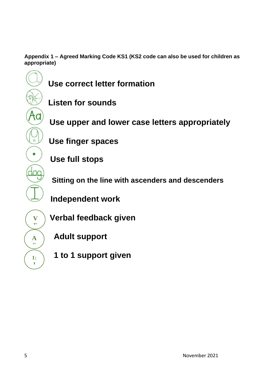**Appendix 1 – Agreed Marking Code KS1 (KS2 code can also be used for children as appropriate)**

- **Use correct letter formation**
	- **Listen for sounds**
	- **Use upper and lower case letters appropriately**
	- **Use finger spaces**
	- **Use full stops**
	- **Sitting on the line with ascenders and descenders**
	- **Independent work**
	- **Verbal feedback given**
		- **Adult support**
		- **1 to 1 support given**

**V F**

**A S**

**1: 1**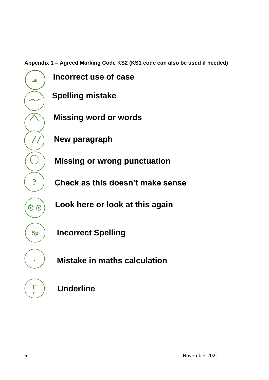**Appendix 1 – Agreed Marking Code KS2 (KS1 code can also be used if needed)**

 **Incorrect use of case Spelling mistake Missing word or words New paragraph**  $\bigcirc$   $\bigcirc$  Missing or wrong punctuation  **Check as this doesn't make sense Look here or look at this again** 00 **Incorrect Spelling**

**Mistake in maths calculation**



**a**

**?**

 $\frac{1}{2}$ 

**Sp**

**.**

**U L**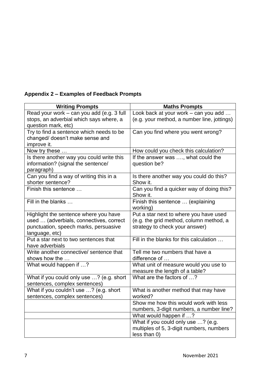# **Appendix 2 – Examples of Feedback Prompts**

| <b>Writing Prompts</b>                    | <b>Maths Prompts</b>                                  |
|-------------------------------------------|-------------------------------------------------------|
| Read your work - can you add (e.g. 3 full | Look back at your work - can you add                  |
| stops, an adverbial which says where, a   | (e.g. your method, a number line, jottings)           |
| question mark, etc)                       |                                                       |
| Try to find a sentence which needs to be  | Can you find where you went wrong?                    |
| changed/ doesn't make sense and           |                                                       |
| improve it.                               |                                                       |
| Now try these                             | How could you check this calculation?                 |
| Is there another way you could write this | If the answer was , what could the                    |
| information? (signal the sentence/        | question be?                                          |
| paragraph)                                |                                                       |
| Can you find a way of writing this in a   | Is there another way you could do this?               |
| shorter sentence?<br>Finish this sentence | Show it.                                              |
|                                           | Can you find a quicker way of doing this?<br>Show it. |
| Fill in the blanks                        | Finish this sentence  (explaining                     |
|                                           | working)                                              |
| Highlight the sentence where you have     | Put a star next to where you have used                |
| used  (adverbials, connectives, correct   | (e.g. the grid method, column method, a               |
| punctuation, speech marks, persuasive     | strategy to check your answer)                        |
| language, etc)                            |                                                       |
| Put a star next to two sentences that     | Fill in the blanks for this calculation               |
| have adverbials                           |                                                       |
| Write another connective/ sentence that   | Tell me two numbers that have a                       |
| shows how the                             | difference of                                         |
| What would happen if ?                    | What unit of measure would you use to                 |
|                                           | measure the length of a table?                        |
| What if you could only use ? (e.g. short  | What are the factors of ?                             |
| sentences, complex sentences)             |                                                       |
| What if you couldn't use ? (e.g. short    | What is another method that may have                  |
| sentences, complex sentences)             | worked?                                               |
|                                           | Show me how this would work with less                 |
|                                           | numbers, 3-digit numbers, a number line?              |
|                                           | What would happen if ?                                |
|                                           | What if you could only use ? (e.g.                    |
|                                           | multiples of 5, 3-digit numbers, numbers              |
|                                           | less than 0)                                          |